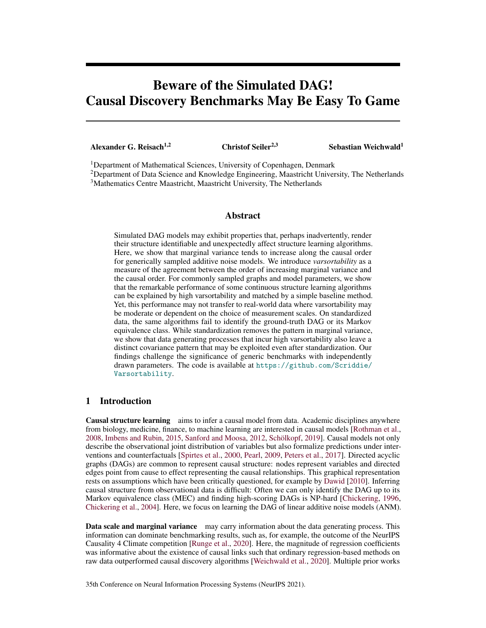# Beware of the Simulated DAG! Causal Discovery Benchmarks May Be Easy To Game

Alexander G. Reisach<sup>1,2</sup> Christof Seiler<sup>2,3</sup> Sebastian Weichwald<sup>1</sup>

<sup>1</sup>Department of Mathematical Sciences, University of Copenhagen, Denmark

<sup>2</sup>Department of Data Science and Knowledge Engineering, Maastricht University, The Netherlands <sup>3</sup>Mathematics Centre Maastricht, Maastricht University, The Netherlands

## Abstract

Simulated DAG models may exhibit properties that, perhaps inadvertently, render their structure identifiable and unexpectedly affect structure learning algorithms. Here, we show that marginal variance tends to increase along the causal order for generically sampled additive noise models. We introduce *varsortability* as a measure of the agreement between the order of increasing marginal variance and the causal order. For commonly sampled graphs and model parameters, we show that the remarkable performance of some continuous structure learning algorithms can be explained by high varsortability and matched by a simple baseline method. Yet, this performance may not transfer to real-world data where varsortability may be moderate or dependent on the choice of measurement scales. On standardized data, the same algorithms fail to identify the ground-truth DAG or its Markov equivalence class. While standardization removes the pattern in marginal variance, we show that data generating processes that incur high varsortability also leave a distinct covariance pattern that may be exploited even after standardization. Our findings challenge the significance of generic benchmarks with independently drawn parameters. The code is available at [https://github.com/Scriddie/](https://github.com/Scriddie/Varsortability) [Varsortability](https://github.com/Scriddie/Varsortability).

# <span id="page-0-0"></span>1 Introduction

Causal structure learning aims to infer a causal model from data. Academic disciplines anywhere from biology, medicine, finance, to machine learning are interested in causal models [\[Rothman et al.,](#page-11-0) [2008,](#page-11-0) [Imbens and Rubin,](#page-10-0) [2015,](#page-10-0) [Sanford and Moosa,](#page-11-1) [2012,](#page-11-1) [Schölkopf,](#page-11-2) [2019\]](#page-11-2). Causal models not only describe the observational joint distribution of variables but also formalize predictions under interventions and counterfactuals [\[Spirtes et al.,](#page-11-3) [2000,](#page-11-3) [Pearl,](#page-11-4) [2009,](#page-11-4) [Peters et al.,](#page-11-5) [2017\]](#page-11-5). Directed acyclic graphs (DAGs) are common to represent causal structure: nodes represent variables and directed edges point from cause to effect representing the causal relationships. This graphical representation rests on assumptions which have been critically questioned, for example by [Dawid](#page-10-1) [\[2010\]](#page-10-1). Inferring causal structure from observational data is difficult: Often we can only identify the DAG up to its Markov equivalence class (MEC) and finding high-scoring DAGs is NP-hard [\[Chickering,](#page-10-2) [1996,](#page-10-2) [Chickering et al.,](#page-10-3) [2004\]](#page-10-3). Here, we focus on learning the DAG of linear additive noise models (ANM).

Data scale and marginal variance may carry information about the data generating process. This information can dominate benchmarking results, such as, for example, the outcome of the NeurIPS Causality 4 Climate competition [\[Runge et al.,](#page-11-6) [2020\]](#page-11-6). Here, the magnitude of regression coefficients was informative about the existence of causal links such that ordinary regression-based methods on raw data outperformed causal discovery algorithms [\[Weichwald et al.,](#page-12-0) [2020\]](#page-12-0). Multiple prior works

35th Conference on Neural Information Processing Systems (NeurIPS 2021).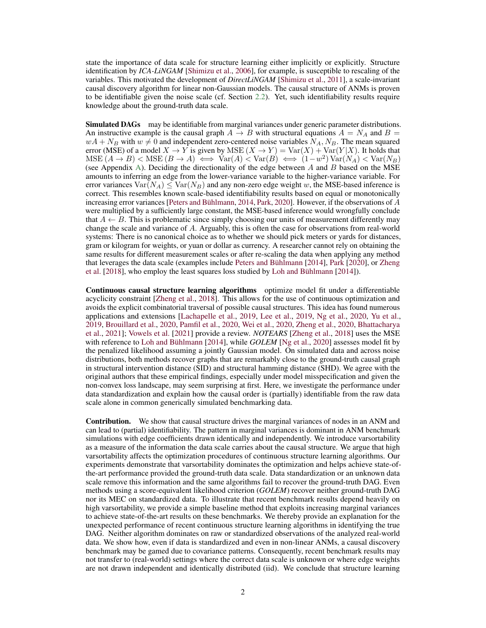state the importance of data scale for structure learning either implicitly or explicitly. Structure identification by *ICA-LiNGAM* [\[Shimizu et al.,](#page-11-7) [2006\]](#page-11-7), for example, is susceptible to rescaling of the variables. This motivated the development of *DirectLiNGAM* [\[Shimizu et al.,](#page-11-8) [2011\]](#page-11-8), a scale-invariant causal discovery algorithm for linear non-Gaussian models. The causal structure of ANMs is proven to be identifiable given the noise scale (cf. Section [2.2\)](#page-2-0). Yet, such identifiability results require knowledge about the ground-truth data scale.

Simulated DAGs may be identifiable from marginal variances under generic parameter distributions. An instructive example is the causal graph  $A \to B$  with structural equations  $A = N_A$  and  $B =$  $wA + N_B$  with  $w \neq 0$  and independent zero-centered noise variables  $N_A, N_B$ . The mean squared error (MSE) of a model  $X \to Y$  is given by MSE  $(X \to Y) = \text{Var}(X) + \text{Var}(Y|X)$ . It holds that  $MSE (A \rightarrow B) < MSE (B \rightarrow A) \iff Var(A) < Var(B) \iff (1 - w^2) Var(N_A) < Var(N_B)$ (see Appendix [A\)](#page--1-0). Deciding the directionality of the edge between  $A$  and  $B$  based on the MSE amounts to inferring an edge from the lower-variance variable to the higher-variance variable. For error variances  $Var(N_A) \leq Var(N_B)$  and any non-zero edge weight w, the MSE-based inference is correct. This resembles known scale-based identifiability results based on equal or monotonically increasing error variances [\[Peters and Bühlmann,](#page-11-9) [2014,](#page-11-9) [Park,](#page-11-10) [2020\]](#page-11-10). However, if the observations of  $A$ were multiplied by a sufficiently large constant, the MSE-based inference would wrongfully conclude that  $A \leftarrow B$ . This is problematic since simply choosing our units of measurement differently may change the scale and variance of A. Arguably, this is often the case for observations from real-world systems: There is no canonical choice as to whether we should pick meters or yards for distances, gram or kilogram for weights, or yuan or dollar as currency. A researcher cannot rely on obtaining the same results for different measurement scales or after re-scaling the data when applying any method that leverages the data scale (examples include [Peters and Bühlmann](#page-11-9) [\[2014\]](#page-11-9), [Park](#page-11-10) [\[2020\]](#page-11-10), or [Zheng](#page-12-1) [et al.](#page-12-1) [\[2018\]](#page-12-1), who employ the least squares loss studied by [Loh and Bühlmann](#page-10-4) [\[2014\]](#page-10-4)).

Continuous causal structure learning algorithms optimize model fit under a differentiable acyclicity constraint [\[Zheng et al.,](#page-12-1) [2018\]](#page-12-1). This allows for the use of continuous optimization and avoids the explicit combinatorial traversal of possible causal structures. This idea has found numerous applications and extensions [\[Lachapelle et al.,](#page-10-5) [2019,](#page-10-5) [Lee et al.,](#page-10-6) [2019,](#page-10-6) [Ng et al.,](#page-11-11) [2020,](#page-11-11) [Yu et al.,](#page-12-2) [2019,](#page-12-2) [Brouillard et al.,](#page-10-7) [2020,](#page-10-7) [Pamfil et al.,](#page-11-12) [2020,](#page-11-12) [Wei et al.,](#page-12-3) [2020,](#page-12-3) [Zheng et al.,](#page-12-4) [2020,](#page-12-4) [Bhattacharya](#page-10-8) [et al.,](#page-10-8) [2021\]](#page-10-8); [Vowels et al.](#page-12-5) [\[2021\]](#page-12-5) provide a review. *NOTEARS* [\[Zheng et al.,](#page-12-1) [2018\]](#page-12-1) uses the MSE with reference to [Loh and Bühlmann](#page-10-4) [\[2014\]](#page-10-4), while *GOLEM* [\[Ng et al.,](#page-11-11) [2020\]](#page-11-11) assesses model fit by the penalized likelihood assuming a jointly Gaussian model. On simulated data and across noise distributions, both methods recover graphs that are remarkably close to the ground-truth causal graph in structural intervention distance (SID) and structural hamming distance (SHD). We agree with the original authors that these empirical findings, especially under model misspecification and given the non-convex loss landscape, may seem surprising at first. Here, we investigate the performance under data standardization and explain how the causal order is (partially) identifiable from the raw data scale alone in common generically simulated benchmarking data.

Contribution. We show that causal structure drives the marginal variances of nodes in an ANM and can lead to (partial) identifiability. The pattern in marginal variances is dominant in ANM benchmark simulations with edge coefficients drawn identically and independently. We introduce varsortability as a measure of the information the data scale carries about the causal structure. We argue that high varsortability affects the optimization procedures of continuous structure learning algorithms. Our experiments demonstrate that varsortability dominates the optimization and helps achieve state-ofthe-art performance provided the ground-truth data scale. Data standardization or an unknown data scale remove this information and the same algorithms fail to recover the ground-truth DAG. Even methods using a score-equivalent likelihood criterion (*GOLEM*) recover neither ground-truth DAG nor its MEC on standardized data. To illustrate that recent benchmark results depend heavily on high varsortability, we provide a simple baseline method that exploits increasing marginal variances to achieve state-of-the-art results on these benchmarks. We thereby provide an explanation for the unexpected performance of recent continuous structure learning algorithms in identifying the true DAG. Neither algorithm dominates on raw or standardized observations of the analyzed real-world data. We show how, even if data is standardized and even in non-linear ANMs, a causal discovery benchmark may be gamed due to covariance patterns. Consequently, recent benchmark results may not transfer to (real-world) settings where the correct data scale is unknown or where edge weights are not drawn independent and identically distributed (iid). We conclude that structure learning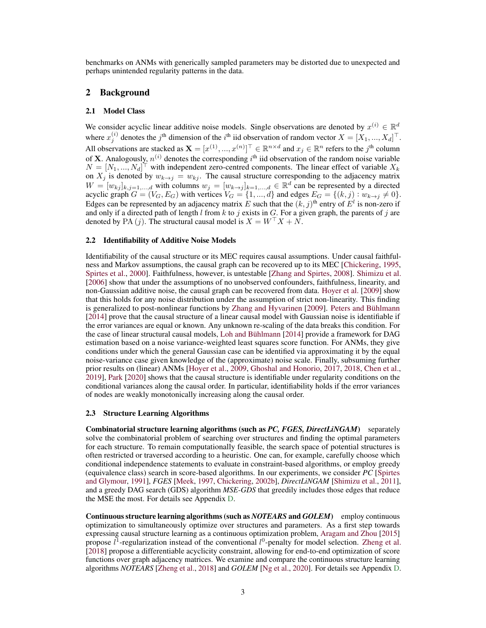benchmarks on ANMs with generically sampled parameters may be distorted due to unexpected and perhaps unintended regularity patterns in the data.

# 2 Background

### 2.1 Model Class

We consider acyclic linear additive noise models. Single observations are denoted by  $x^{(i)} \in \mathbb{R}^d$ where  $x_j^{(i)}$  denotes the j<sup>th</sup> dimension of the i<sup>th</sup> iid observation of random vector  $X = [X_1, ..., X_d]^\top$ . All observations are stacked as  $\mathbf{X} = [x^{(1)}, ..., x^{(n)}]^\top \in \mathbb{R}^{n \times d}$  and  $x_j \in \mathbb{R}^n$  refers to the  $j^{\text{th}}$  column of **X**. Analogously,  $n^{(i)}$  denotes the corresponding  $i^{\text{th}}$  iid observation of the random noise variable  $N = [N_1, ..., N_d]^\top$  with independent zero-centred components. The linear effect of variable  $X_k$ on  $X_j$  is denoted by  $w_{k\to j} = w_{kj}$ . The causal structure corresponding to the adjacency matrix  $W = [w_{kj}]_{k,j=1,\dots,d}$  with columns  $w_j = [w_{k\rightarrow j}]_{k=1,\dots,d} \in \mathbb{R}^d$  can be represented by a directed acyclic graph  $G = (V_G, E_G)$  with vertices  $V_G = \{1, ..., d\}$  and edges  $E_G = \{(k, j) : w_{k \to j} \neq 0\}.$ Edges can be represented by an adjacency matrix E such that the  $(k, j)$ <sup>th</sup> entry of  $E<sup>l</sup>$  is non-zero if and only if a directed path of length  $l$  from  $k$  to  $j$  exists in  $G$ . For a given graph, the parents of  $j$  are denoted by PA (j). The structural causal model is  $X = W^{\top} X + N$ .

#### <span id="page-2-0"></span>2.2 Identifiability of Additive Noise Models

Identifiability of the causal structure or its MEC requires causal assumptions. Under causal faithfulness and Markov assumptions, the causal graph can be recovered up to its MEC [\[Chickering,](#page-10-9) [1995,](#page-10-9) [Spirtes et al.,](#page-11-3) [2000\]](#page-11-3). Faithfulness, however, is untestable [\[Zhang and Spirtes,](#page-12-6) [2008\]](#page-12-6). [Shimizu et al.](#page-11-7) [\[2006\]](#page-11-7) show that under the assumptions of no unobserved confounders, faithfulness, linearity, and non-Gaussian additive noise, the causal graph can be recovered from data. [Hoyer et al.](#page-10-10) [\[2009\]](#page-10-10) show that this holds for any noise distribution under the assumption of strict non-linearity. This finding is generalized to post-nonlinear functions by [Zhang and Hyvarinen](#page-12-7) [\[2009\]](#page-12-7). [Peters and Bühlmann](#page-11-9) [\[2014\]](#page-11-9) prove that the causal structure of a linear causal model with Gaussian noise is identifiable if the error variances are equal or known. Any unknown re-scaling of the data breaks this condition. For the case of linear structural causal models, [Loh and Bühlmann](#page-10-4) [\[2014\]](#page-10-4) provide a framework for DAG estimation based on a noise variance-weighted least squares score function. For ANMs, they give conditions under which the general Gaussian case can be identified via approximating it by the equal noise-variance case given knowledge of the (approximate) noise scale. Finally, subsuming further prior results on (linear) ANMs [\[Hoyer et al.,](#page-10-10) [2009,](#page-10-10) [Ghoshal and Honorio,](#page-10-11) [2017,](#page-10-11) [2018,](#page-10-12) [Chen et al.,](#page-10-13) [2019\]](#page-10-13), [Park](#page-11-10) [\[2020\]](#page-11-10) shows that the causal structure is identifiable under regularity conditions on the conditional variances along the causal order. In particular, identifiability holds if the error variances of nodes are weakly monotonically increasing along the causal order.

### <span id="page-2-1"></span>2.3 Structure Learning Algorithms

Combinatorial structure learning algorithms (such as *PC, FGES, DirectLiNGAM*) separately solve the combinatorial problem of searching over structures and finding the optimal parameters for each structure. To remain computationally feasible, the search space of potential structures is often restricted or traversed according to a heuristic. One can, for example, carefully choose which conditional independence statements to evaluate in constraint-based algorithms, or employ greedy (equivalence class) search in score-based algorithms. In our experiments, we consider *PC* [\[Spirtes](#page-11-13) [and Glymour,](#page-11-13) [1991\]](#page-11-13), *FGES* [\[Meek,](#page-11-14) [1997,](#page-11-14) [Chickering,](#page-10-14) [2002b\]](#page-10-14), *DirectLiNGAM* [\[Shimizu et al.,](#page-11-8) [2011\]](#page-11-8), and a greedy DAG search (GDS) algorithm *MSE-GDS* that greedily includes those edges that reduce the MSE the most. For details see Appendix [D.](#page--1-1)

Continuous structure learning algorithms (such as *NOTEARS* and *GOLEM*) employ continuous optimization to simultaneously optimize over structures and parameters. As a first step towards expressing causal structure learning as a continuous optimization problem, [Aragam and Zhou](#page-10-15) [\[2015\]](#page-10-15) propose  $l^1$ -regularization instead of the conventional  $l^0$ -penalty for model selection. [Zheng et al.](#page-12-1) [\[2018\]](#page-12-1) propose a differentiable acyclicity constraint, allowing for end-to-end optimization of score functions over graph adjacency matrices. We examine and compare the continuous structure learning algorithms *NOTEARS* [\[Zheng et al.,](#page-12-1) [2018\]](#page-12-1) and *GOLEM* [\[Ng et al.,](#page-11-11) [2020\]](#page-11-11). For details see Appendix [D.](#page--1-1)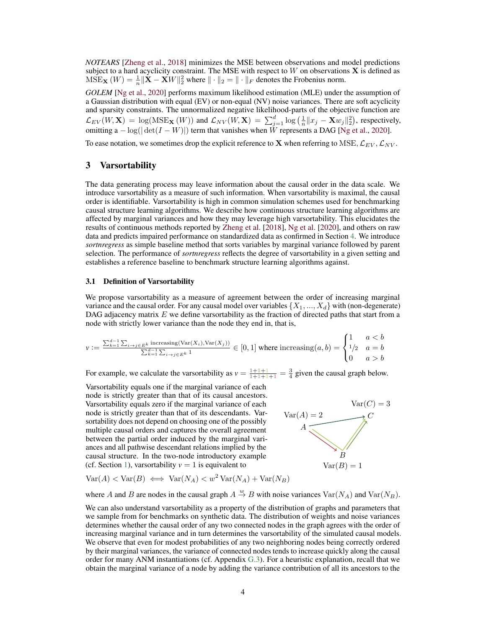*NOTEARS* [\[Zheng et al.,](#page-12-1) [2018\]](#page-12-1) minimizes the MSE between observations and model predictions subject to a hard acyclicity constraint. The MSE with respect to  $W$  on observations  $X$  is defined as  $MSE_{\mathbf{X}}(W) = \frac{1}{n} \|\mathbf{X} - \mathbf{X}W\|_2^2$  where  $\|\cdot\|_2 = \|\cdot\|_F$  denotes the Frobenius norm.

*GOLEM* [\[Ng et al.,](#page-11-11) [2020\]](#page-11-11) performs maximum likelihood estimation (MLE) under the assumption of a Gaussian distribution with equal (EV) or non-equal (NV) noise variances. There are soft acyclicity and sparsity constraints. The unnormalized negative likelihood-parts of the objective function are  $\mathcal{L}_{EV}(W, \mathbf{X}) = \log(MSE_{\mathbf{X}}(W))$  and  $\mathcal{L}_{NV}(W, \mathbf{X}) = \sum_{j=1}^{d} \log \left( \frac{1}{n} ||x_j - \mathbf{X} w_j||_2^2 \right)$ , respectively, omitting a  $-\log(|\det(I - W)|)$  term that vanishes when W represents a DAG [\[Ng et al.,](#page-11-11) [2020\]](#page-11-11).

To ease notation, we sometimes drop the explicit reference to **X** when referring to MSE,  $\mathcal{L}_{EV}$ ,  $\mathcal{L}_{NV}$ .

### 3 Varsortability

The data generating process may leave information about the causal order in the data scale. We introduce varsortability as a measure of such information. When varsortability is maximal, the causal order is identifiable. Varsortability is high in common simulation schemes used for benchmarking causal structure learning algorithms. We describe how continuous structure learning algorithms are affected by marginal variances and how they may leverage high varsortability. This elucidates the results of continuous methods reported by [Zheng et al.](#page-12-1) [\[2018\]](#page-12-1), [Ng et al.](#page-11-11) [\[2020\]](#page-11-11), and others on raw data and predicts impaired performance on standardized data as confirmed in Section [4.](#page-6-0) We introduce *sortnregress* as simple baseline method that sorts variables by marginal variance followed by parent selection. The performance of *sortnregress* reflects the degree of varsortability in a given setting and establishes a reference baseline to benchmark structure learning algorithms against.

### 3.1 Definition of Varsortability

We propose varsortability as a measure of agreement between the order of increasing marginal variance and the causal order. For any causal model over variables  $\{X_1, ..., X_d\}$  with (non-degenerate) DAG adjacency matrix  $E$  we define varsortability as the fraction of directed paths that start from a node with strictly lower variance than the node they end in, that is,

$$
\nu := \frac{\sum_{k=1}^{d-1} \sum_{i \to j \in E^k} \text{increasing}(\text{Var}(X_i), \text{Var}(X_j))}{\sum_{k=1}^{d-1} \sum_{i \to j \in E^k} 1} \in [0, 1] \text{ where increasing}(a, b) = \begin{cases} 1 & a < b \\ 1/2 & a = b \\ 0 & a > b \end{cases}
$$

For example, we calculate the varsortability as  $v = \frac{1+1+1}{1+1+1+1} = \frac{3}{4}$  given the causal graph below.

Varsortability equals one if the marginal variance of each node is strictly greater than that of its causal ancestors. Varsortability equals zero if the marginal variance of each node is strictly greater than that of its descendants. Varsortability does not depend on choosing one of the possibly multiple causal orders and captures the overall agreement between the partial order induced by the marginal variances and all pathwise descendant relations implied by the causal structure. In the two-node introductory example (cf. Section [1\)](#page-0-0), varsortability  $v = 1$  is equivalent to

$$
Var(A) = 2
$$
  
\n
$$
Var(B) = 3
$$
  
\n
$$
Var(B) = 1
$$

$$
Var(A) < Var(B) \iff Var(N_A) < w^2 Var(N_A) + Var(N_B)
$$

where A and B are nodes in the causal graph  $A \stackrel{w}{\rightarrow} B$  with noise variances  $\text{Var}(N_A)$  and  $\text{Var}(N_B)$ .

We can also understand varsortability as a property of the distribution of graphs and parameters that we sample from for benchmarks on synthetic data. The distribution of weights and noise variances determines whether the causal order of any two connected nodes in the graph agrees with the order of increasing marginal variance and in turn determines the varsortability of the simulated causal models. We observe that even for modest probabilities of any two neighboring nodes being correctly ordered by their marginal variances, the variance of connected nodes tends to increase quickly along the causal order for many ANM instantiations (cf. Appendix [G.3\)](#page--1-2). For a heuristic explanation, recall that we obtain the marginal variance of a node by adding the variance contribution of all its ancestors to the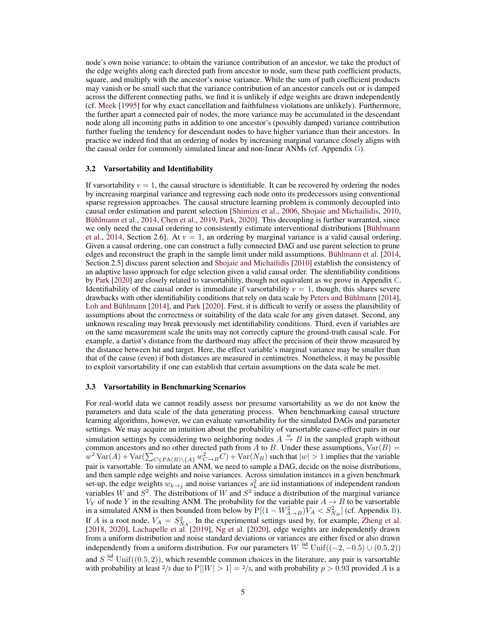node's own noise variance; to obtain the variance contribution of an ancestor, we take the product of the edge weights along each directed path from ancestor to node, sum these path coefficient products, square, and multiply with the ancestor's noise variance. While the sum of path coefficient products may vanish or be small such that the variance contribution of an ancestor cancels out or is damped across the different connecting paths, we find it is unlikely if edge weights are drawn independently (cf. [Meek](#page-11-15) [\[1995\]](#page-11-15) for why exact cancellation and faithfulness violations are unlikely). Furthermore, the further apart a connected pair of nodes, the more variance may be accumulated in the descendant node along all incoming paths in addition to one ancestor's (possibly damped) variance contribution further fueling the tendency for descendant nodes to have higher variance than their ancestors. In practice we indeed find that an ordering of nodes by increasing marginal variance closely aligns with the causal order for commonly simulated linear and non-linear ANMs (cf. Appendix [G\)](#page--1-3).

#### 3.2 Varsortability and Identifiability

If varsortability  $v = 1$ , the causal structure is identifiable. It can be recovered by ordering the nodes by increasing marginal variance and regressing each node onto its predecessors using conventional sparse regression approaches. The causal structure learning problem is commonly decoupled into causal order estimation and parent selection [\[Shimizu et al.,](#page-11-7) [2006,](#page-11-7) [Shojaie and Michailidis,](#page-11-16) [2010,](#page-11-16) [Bühlmann et al.,](#page-10-16) [2014,](#page-10-16) [Chen et al.,](#page-10-13) [2019,](#page-10-13) [Park,](#page-11-10) [2020\]](#page-11-10). This decoupling is further warranted, since we only need the causal ordering to consistently estimate interventional distributions [\[Bühlmann](#page-10-16) [et al.,](#page-10-16) [2014,](#page-10-16) Section 2.6]. At  $v = 1$ , an ordering by marginal variance is a valid causal ordering. Given a causal ordering, one can construct a fully connected DAG and use parent selection to prune edges and reconstruct the graph in the sample limit under mild assumptions. [Bühlmann et al.](#page-10-16) [\[2014,](#page-10-16) Section 2.5] discuss parent selection and [Shojaie and Michailidis](#page-11-16) [\[2010\]](#page-11-16) establish the consistency of an adaptive lasso approach for edge selection given a valid causal order. The identifiability conditions by [Park](#page-11-10) [\[2020\]](#page-11-10) are closely related to varsortability, though not equivalent as we prove in Appendix [C.](#page--1-4) Identifiability of the causal order is immediate if varsortability  $v = 1$ , though, this shares severe drawbacks with other identifiability conditions that rely on data scale by [Peters and Bühlmann](#page-11-9) [\[2014\]](#page-11-9), [Loh and Bühlmann](#page-10-4) [\[2014\]](#page-10-4), and [Park](#page-11-10) [\[2020\]](#page-11-10). First, it is difficult to verify or assess the plausibility of assumptions about the correctness or suitability of the data scale for any given dataset. Second, any unknown rescaling may break previously met identifiability conditions. Third, even if variables are on the same measurement scale the units may not correctly capture the ground-truth causal scale. For example, a dartist's distance from the dartboard may affect the precision of their throw measured by the distance between hit and target. Here, the effect variable's marginal variance may be smaller than that of the cause (even) if both distances are measured in centimetres. Nonetheless, it may be possible to exploit varsortability if one can establish that certain assumptions on the data scale be met.

### 3.3 Varsortability in Benchmarking Scenarios

For real-world data we cannot readily assess nor presume varsortability as we do not know the parameters and data scale of the data generating process. When benchmarking causal structure learning algorithms, however, we can evaluate varsortability for the simulated DAGs and parameter settings. We may acquire an intuition about the probability of varsortable cause-effect pairs in our simulation settings by considering two neighboring nodes  $A \stackrel{w}{\rightarrow} B$  in the sampled graph without common ancestors and no other directed path from A to B. Under these assumptions,  $Var(B)$  =  $w^2 \text{Var}(A) + \text{Var}(\sum_{C \in \text{PA}(B) \setminus \{A\}} w_{C \to B}^2 C) + \text{Var}(N_B)$  such that  $|w| > 1$  implies that the variable pair is varsortable. To simulate an ANM, we need to sample a DAG, decide on the noise distributions, and then sample edge weights and noise variances. Across simulation instances in a given benchmark set-up, the edge weights  $w_{k\to j}$  and noise variances  $s_k^2$  are iid instantiations of independent random variables W and  $S^2$ . The distributions of W and  $S^2$  induce a distribution of the marginal variance  $V_Y$  of node Y in the resulting ANM. The probability for the variable pair  $A \rightarrow B$  to be varsortable in a simulated ANM is then bounded from below by  $P[(1 - W_{A\to B}^2)\tilde{V}_A < S_{N_B}^2]$  (cf. Appendix [B\)](#page--1-5). If A is a root node,  $V_A = S_{N_A}^2$ . In the experimental settings used by, for example, [Zheng et al.](#page-12-1) [\[2018,](#page-12-1) [2020\]](#page-12-4), [Lachapelle et al.](#page-10-5) [\[2019\]](#page-10-5), [Ng et al.](#page-11-11) [\[2020\]](#page-11-11), edge weights are independently drawn from a uniform distribution and noise standard deviations or variances are either fixed or also drawn independently from a uniform distribution. For our parameters  $W \stackrel{\text{iid}}{\sim} \text{Unif}((-2, -0.5) \cup (0.5, 2))$ and  $S \stackrel{\text{iid}}{\sim}$  Unif((0.5, 2)), which resemble common choices in the literature, any pair is varsortable with probability at least  $\frac{2}{3}$  due to  $P[|W| > 1] = \frac{2}{3}$ , and with probability  $p > 0.93$  provided A is a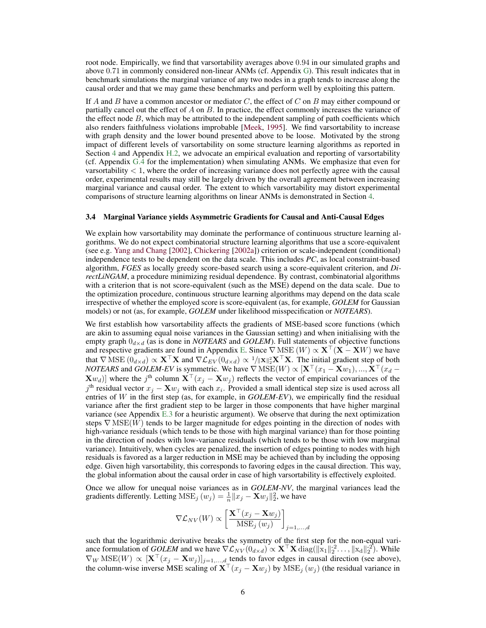root node. Empirically, we find that varsortability averages above 0.94 in our simulated graphs and above 0.71 in commonly considered non-linear ANMs (cf. Appendix [G\)](#page--1-3). This result indicates that in benchmark simulations the marginal variance of any two nodes in a graph tends to increase along the causal order and that we may game these benchmarks and perform well by exploiting this pattern.

If A and B have a common ancestor or mediator C, the effect of C on B may either compound or partially cancel out the effect of  $A$  on  $B$ . In practice, the effect commonly increases the variance of the effect node  $B$ , which may be attributed to the independent sampling of path coefficients which also renders faithfulness violations improbable [\[Meek,](#page-11-15) [1995\]](#page-11-15). We find varsortability to increase with graph density and the lower bound presented above to be loose. Motivated by the strong impact of different levels of varsortability on some structure learning algorithms as reported in Section [4](#page-6-0) and Appendix [H.2,](#page--1-6) we advocate an empirical evaluation and reporting of varsortability (cf. Appendix [G.4](#page--1-7) for the implementation) when simulating ANMs. We emphasize that even for varsortability  $\lt 1$ , where the order of increasing variance does not perfectly agree with the causal order, experimental results may still be largely driven by the overall agreement between increasing marginal variance and causal order. The extent to which varsortability may distort experimental comparisons of structure learning algorithms on linear ANMs is demonstrated in Section [4.](#page-6-0)

### <span id="page-5-0"></span>3.4 Marginal Variance yields Asymmetric Gradients for Causal and Anti-Causal Edges

We explain how varsortability may dominate the performance of continuous structure learning algorithms. We do not expect combinatorial structure learning algorithms that use a score-equivalent (see e.g. [Yang and Chang](#page-12-8) [\[2002\]](#page-12-8), [Chickering](#page-10-17) [\[2002a\]](#page-10-17)) criterion or scale-independent (conditional) independence tests to be dependent on the data scale. This includes *PC*, as local constraint-based algorithm, *FGES* as locally greedy score-based search using a score-equivalent criterion, and *DirectLiNGAM*, a procedure minimizing residual dependence. By contrast, combinatorial algorithms with a criterion that is not score-equivalent (such as the MSE) depend on the data scale. Due to the optimization procedure, continuous structure learning algorithms may depend on the data scale irrespective of whether the employed score is score-equivalent (as, for example, *GOLEM* for Gaussian models) or not (as, for example, *GOLEM* under likelihood misspecification or *NOTEARS*).

We first establish how varsortability affects the gradients of MSE-based score functions (which are akin to assuming equal noise variances in the Gaussian setting) and when initialising with the empty graph  $0_{d \times d}$  (as is done in *NOTEARS* and *GOLEM*). Full statements of objective functions and respective gradients are found in Appendix [E.](#page--1-8) Since  $\nabla$  MSE  $(W) \propto \mathbf{X}^\top (\mathbf{X} - \mathbf{X}W)$  we have that  $\nabla \text{MSE} (0_{d \times d}) \propto \mathbf{X}^{\top} \mathbf{X}$  and  $\nabla \mathcal{L}_{EV}(0_{d \times d}) \propto 1/||\mathbf{x}||_2^2 \mathbf{X}^{\top} \mathbf{X}$ . The initial gradient step of both *NOTEARS* and *GOLEM-EV* is symmetric. We have  $\nabla \text{MSE}(W) \propto [\mathbf{X}^\top (x_1 - \mathbf{X}w_1), ..., \mathbf{X}^\top (x_d (Xw_d)$ ] where the j<sup>th</sup> column  $X^{\top}(x_j - Xw_j)$  reflects the vector of empirical covariances of the  $j<sup>th</sup>$  residual vector  $x_j - \mathbf{X} w_j$  with each  $x_i$ . Provided a small identical step size is used across all entries of W in the first step (as, for example, in *GOLEM-EV*), we empirically find the residual variance after the first gradient step to be larger in those components that have higher marginal variance (see Appendix [E.3](#page--1-9) for a heuristic argument). We observe that during the next optimization steps  $\nabla$  MSE(W) tends to be larger magnitude for edges pointing in the direction of nodes with high-variance residuals (which tends to be those with high marginal variance) than for those pointing in the direction of nodes with low-variance residuals (which tends to be those with low marginal variance). Intuitively, when cycles are penalized, the insertion of edges pointing to nodes with high residuals is favored as a larger reduction in MSE may be achieved than by including the opposing edge. Given high varsortability, this corresponds to favoring edges in the causal direction. This way, the global information about the causal order in case of high varsortability is effectively exploited.

Once we allow for unequal noise variances as in *GOLEM-NV*, the marginal variances lead the gradients differently. Letting  $MSE_j(w_j) = \frac{1}{n} ||x_j - \mathbf{X} w_j||_2^2$ , we have

$$
\nabla \mathcal{L}_{NV}(W) \propto \left[ \frac{\mathbf{X}^{\top} (x_j - \mathbf{X} w_j)}{\text{MSE}_j (w_j)} \right]_{j=1,..}
$$

such that the logarithmic derivative breaks the symmetry of the first step for the non-equal variance formulation of *GOLEM* and we have  $\nabla \mathcal{L}_{NV}(0_{d\times d}) \propto \mathbf{X}^\top \mathbf{X} \operatorname{diag}(\|\mathbf{x}_1\|_2^2 \dots, \|\mathbf{x}_d\|_2^2)$ . While  $\nabla_W \text{MSE}(W) \propto [\mathbf{X}^\top (x_j - \mathbf{X} w_j)]_{j=1,\dots,d}$  tends to favor edges in causal direction (see above), the column-wise inverse MSE scaling of  $X^{\top}(x_j - Xw_j)$  by  $MSE_j(w_j)$  (the residual variance in

 $\ldots$ d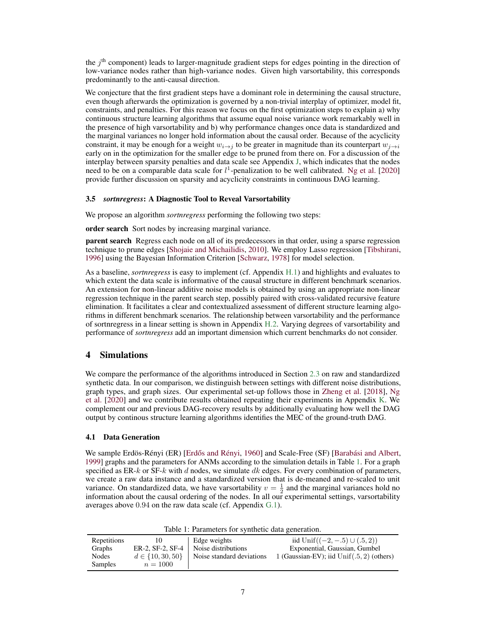the  $j<sup>th</sup>$  component) leads to larger-magnitude gradient steps for edges pointing in the direction of low-variance nodes rather than high-variance nodes. Given high varsortability, this corresponds predominantly to the anti-causal direction.

We conjecture that the first gradient steps have a dominant role in determining the causal structure, even though afterwards the optimization is governed by a non-trivial interplay of optimizer, model fit, constraints, and penalties. For this reason we focus on the first optimization steps to explain a) why continuous structure learning algorithms that assume equal noise variance work remarkably well in the presence of high varsortability and b) why performance changes once data is standardized and the marginal variances no longer hold information about the causal order. Because of the acyclicity constraint, it may be enough for a weight  $w_{i\rightarrow i}$  to be greater in magnitude than its counterpart  $w_{i\rightarrow i}$ early on in the optimization for the smaller edge to be pruned from there on. For a discussion of the interplay between sparsity penalties and data scale see Appendix [J,](#page--1-10) which indicates that the nodes need to be on a comparable data scale for  $l^1$ -penalization to be well calibrated. [Ng et al.](#page-11-11) [\[2020\]](#page-11-11) provide further discussion on sparsity and acyclicity constraints in continuous DAG learning.

### 3.5 *sortnregress*: A Diagnostic Tool to Reveal Varsortability

We propose an algorithm *sortnregress* performing the following two steps:

order search Sort nodes by increasing marginal variance.

parent search Regress each node on all of its predecessors in that order, using a sparse regression technique to prune edges [\[Shojaie and Michailidis,](#page-11-16) [2010\]](#page-11-16). We employ Lasso regression [\[Tibshirani,](#page-11-17) [1996\]](#page-11-17) using the Bayesian Information Criterion [\[Schwarz,](#page-11-18) [1978\]](#page-11-18) for model selection.

As a baseline, *sortnregress* is easy to implement (cf. Appendix [H.1\)](#page--1-11) and highlights and evaluates to which extent the data scale is informative of the causal structure in different benchmark scenarios. An extension for non-linear additive noise models is obtained by using an appropriate non-linear regression technique in the parent search step, possibly paired with cross-validated recursive feature elimination. It facilitates a clear and contextualized assessment of different structure learning algorithms in different benchmark scenarios. The relationship between varsortability and the performance of sortnregress in a linear setting is shown in Appendix [H.2.](#page--1-6) Varying degrees of varsortability and performance of *sortnregress* add an important dimension which current benchmarks do not consider.

# <span id="page-6-0"></span>4 Simulations

We compare the performance of the algorithms introduced in Section [2.3](#page-2-1) on raw and standardized synthetic data. In our comparison, we distinguish between settings with different noise distributions, graph types, and graph sizes. Our experimental set-up follows those in [Zheng et al.](#page-12-1) [\[2018\]](#page-12-1), [Ng](#page-11-11) [et al.](#page-11-11) [\[2020\]](#page-11-11) and we contribute results obtained repeating their experiments in Appendix [K.](#page--1-12) We complement our and previous DAG-recovery results by additionally evaluating how well the DAG output by continous structure learning algorithms identifies the MEC of the ground-truth DAG.

### 4.1 Data Generation

We sample Erdös-Rényi (ER) [Erdős and Rényi, [1960\]](#page-10-18) and Scale-Free (SF) [\[Barabási and Albert,](#page-10-19) [1999\]](#page-10-19) graphs and the parameters for ANMs according to the simulation details in Table [1.](#page-6-1) For a graph specified as  $ER-k$  or  $SF-k$  with d nodes, we simulate dk edges. For every combination of parameters, we create a raw data instance and a standardized version that is de-meaned and re-scaled to unit variance. On standardized data, we have varsortability  $v = \frac{1}{2}$  and the marginal variances hold no information about the causal ordering of the nodes. In all our experimental settings, varsortability averages above 0.94 on the raw data scale (cf. Appendix [G.1\)](#page--1-13).

Table 1: Parameters for synthetic data generation.

<span id="page-6-1"></span>

| Repetitions  | 10                     | Edge weights              | iid Unif $((-2, -.5) \cup (.5, 2))$         |
|--------------|------------------------|---------------------------|---------------------------------------------|
| Graphs       | ER-2, SF-2, SF-4       | Noise distributions       | Exponential, Gaussian, Gumbel               |
| <b>Nodes</b> | $d \in \{10, 30, 50\}$ | Noise standard deviations | 1 (Gaussian-EV); iid $Unif(.5, 2)$ (others) |
| Samples      | $n = 1000$             |                           |                                             |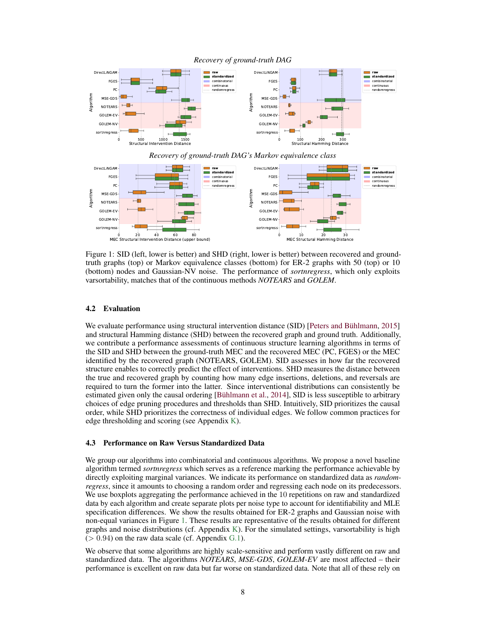<span id="page-7-0"></span>

### *Recovery of ground-truth DAG*

Figure 1: SID (left, lower is better) and SHD (right, lower is better) between recovered and groundtruth graphs (top) or Markov equivalence classes (bottom) for ER-2 graphs with 50 (top) or 10 (bottom) nodes and Gaussian-NV noise. The performance of *sortnregress*, which only exploits varsortability, matches that of the continuous methods *NOTEARS* and *GOLEM*.

### 4.2 Evaluation

We evaluate performance using structural intervention distance (SID) [\[Peters and Bühlmann,](#page-11-19) [2015\]](#page-11-19) and structural Hamming distance (SHD) between the recovered graph and ground truth. Additionally, we contribute a performance assessments of continuous structure learning algorithms in terms of the SID and SHD between the ground-truth MEC and the recovered MEC (PC, FGES) or the MEC identified by the recovered graph (NOTEARS, GOLEM). SID assesses in how far the recovered structure enables to correctly predict the effect of interventions. SHD measures the distance between the true and recovered graph by counting how many edge insertions, deletions, and reversals are required to turn the former into the latter. Since interventional distributions can consistently be estimated given only the causal ordering [\[Bühlmann et al.,](#page-10-16) [2014\]](#page-10-16), SID is less susceptible to arbitrary choices of edge pruning procedures and thresholds than SHD. Intuitively, SID prioritizes the causal order, while SHD prioritizes the correctness of individual edges. We follow common practices for edge thresholding and scoring (see Appendix [K\)](#page--1-12).

### 4.3 Performance on Raw Versus Standardized Data

We group our algorithms into combinatorial and continuous algorithms. We propose a novel baseline algorithm termed *sortnregress* which serves as a reference marking the performance achievable by directly exploiting marginal variances. We indicate its performance on standardized data as *randomregress*, since it amounts to choosing a random order and regressing each node on its predecessors. We use boxplots aggregating the performance achieved in the 10 repetitions on raw and standardized data by each algorithm and create separate plots per noise type to account for identifiability and MLE specification differences. We show the results obtained for ER-2 graphs and Gaussian noise with non-equal variances in Figure [1.](#page-7-0) These results are representative of the results obtained for different graphs and noise distributions (cf. Appendix [K\)](#page--1-12). For the simulated settings, varsortability is high  $(> 0.94)$  on the raw data scale (cf. Appendix [G.1\)](#page--1-13).

We observe that some algorithms are highly scale-sensitive and perform vastly different on raw and standardized data. The algorithms *NOTEARS*, *MSE-GDS*, *GOLEM-EV* are most affected – their performance is excellent on raw data but far worse on standardized data. Note that all of these rely on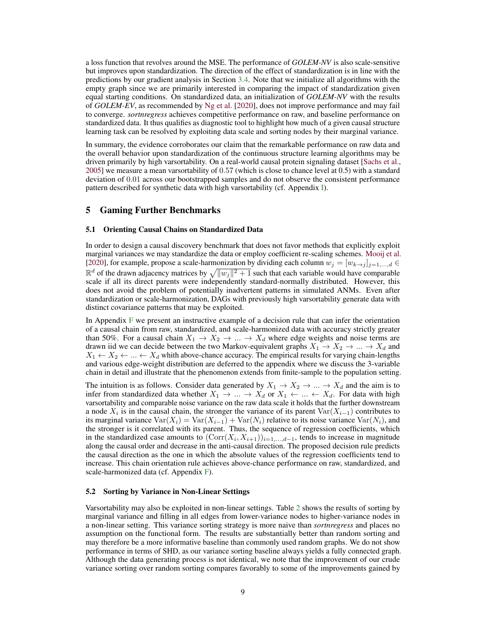a loss function that revolves around the MSE. The performance of *GOLEM-NV* is also scale-sensitive but improves upon standardization. The direction of the effect of standardization is in line with the predictions by our gradient analysis in Section [3.4.](#page-5-0) Note that we initialize all algorithms with the empty graph since we are primarily interested in comparing the impact of standardization given equal starting conditions. On standardized data, an initialization of *GOLEM-NV* with the results of *GOLEM-EV*, as recommended by [Ng et al.](#page-11-11) [\[2020\]](#page-11-11), does not improve performance and may fail to converge. *sortnregress* achieves competitive performance on raw, and baseline performance on standardized data. It thus qualifies as diagnostic tool to highlight how much of a given causal structure learning task can be resolved by exploiting data scale and sorting nodes by their marginal variance.

In summary, the evidence corroborates our claim that the remarkable performance on raw data and the overall behavior upon standardization of the continuous structure learning algorithms may be driven primarily by high varsortability. On a real-world causal protein signaling dataset [\[Sachs et al.,](#page-11-20) [2005\]](#page-11-20) we measure a mean varsortability of 0.57 (which is close to chance level at 0.5) with a standard deviation of 0.01 across our bootstrapped samples and do not observe the consistent performance pattern described for synthetic data with high varsortability (cf. Appendix [I\)](#page--1-14).

### 5 Gaming Further Benchmarks

#### 5.1 Orienting Causal Chains on Standardized Data

In order to design a causal discovery benchmark that does not favor methods that explicitly exploit marginal variances we may standardize the data or employ coefficient re-scaling schemes. [Mooij et al.](#page-11-21) [\[2020\]](#page-11-21), for example, propose a scale-harmonization by dividing each column  $w_j = [w_{k\to j}]_{j=1,\dots,d} \in$  $\mathbb{R}^d$  of the drawn adjacency matrices by  $\sqrt{||w_j||^2+1}$  such that each variable would have comparable scale if all its direct parents were independently standard-normally distributed. However, this does not avoid the problem of potentially inadvertent patterns in simulated ANMs. Even after standardization or scale-harmonization, DAGs with previously high varsortability generate data with distinct covariance patterns that may be exploited.

In Appendix [F](#page--1-15) we present an instructive example of a decision rule that can infer the orientation of a causal chain from raw, standardized, and scale-harmonized data with accuracy strictly greater than 50%. For a causal chain  $X_1 \rightarrow X_2 \rightarrow \dots \rightarrow X_d$  where edge weights and noise terms are drawn iid we can decide between the two Markov-equivalent graphs  $X_1 \rightarrow X_2 \rightarrow \dots \rightarrow X_d$  and  $X_1 \leftarrow X_2 \leftarrow \dots \leftarrow X_d$  whith above-chance accuracy. The empirical results for varying chain-lengths and various edge-weight distribution are deferred to the appendix where we discuss the 3-variable chain in detail and illustrate that the phenomenon extends from finite-sample to the population setting.

The intuition is as follows. Consider data generated by  $X_1 \to X_2 \to \dots \to X_d$  and the aim is to infer from standardized data whether  $X_1 \to \ldots \to X_d$  or  $X_1 \leftarrow \ldots \leftarrow X_d$ . For data with high varsortability and comparable noise variance on the raw data scale it holds that the further downstream a node  $X_i$  is in the causal chain, the stronger the variance of its parent  $\text{Var}(X_{i-1})$  contributes to its marginal variance  $\text{Var}(X_i) = \text{Var}(X_{i-1}) + \text{Var}(N_i)$  relative to its noise variance  $\text{Var}(N_i)$ , and the stronger is it correlated with its parent. Thus, the sequence of regression coefficients, which in the standardized case amounts to  $(\text{Corr}(X_i, X_{i+1}))_{i=1,\dots,d-1}$ , tends to increase in magnitude along the causal order and decrease in the anti-causal direction. The proposed decision rule predicts the causal direction as the one in which the absolute values of the regression coefficients tend to increase. This chain orientation rule achieves above-chance performance on raw, standardized, and scale-harmonized data (cf. Appendix [F\)](#page--1-15).

### 5.2 Sorting by Variance in Non-Linear Settings

Varsortability may also be exploited in non-linear settings. Table [2](#page-9-0) shows the results of sorting by marginal variance and filling in all edges from lower-variance nodes to higher-variance nodes in a non-linear setting. This variance sorting strategy is more naive than *sortnregress* and places no assumption on the functional form. The results are substantially better than random sorting and may therefore be a more informative baseline than commonly used random graphs. We do not show performance in terms of SHD, as our variance sorting baseline always yields a fully connected graph. Although the data generating process is not identical, we note that the improvement of our crude variance sorting over random sorting compares favorably to some of the improvements gained by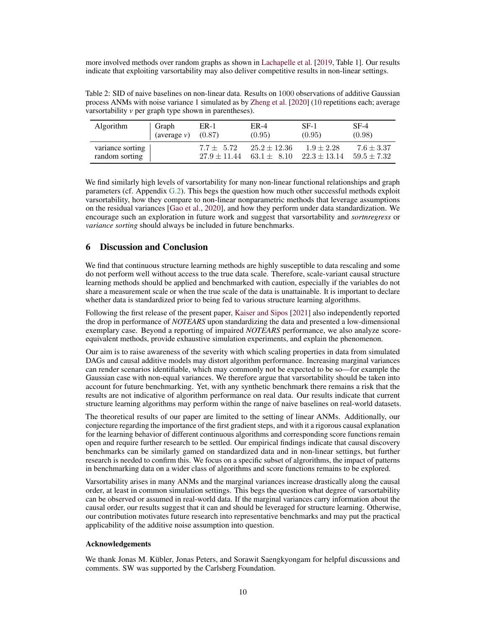more involved methods over random graphs as shown in [Lachapelle et al.](#page-10-5) [\[2019,](#page-10-5) Table 1]. Our results indicate that exploiting varsortability may also deliver competitive results in non-linear settings.

<span id="page-9-0"></span>Table 2: SID of naive baselines on non-linear data. Results on 1000 observations of additive Gaussian process ANMs with noise variance 1 simulated as by [Zheng et al.](#page-12-4) [\[2020\]](#page-12-4) (10 repetitions each; average varsortability *v* per graph type shown in parentheses).

| <b>Algorithm</b> | Graph          | $ER-1$           | $ER-4$           | $SF-1$           | $SF-4$          |
|------------------|----------------|------------------|------------------|------------------|-----------------|
|                  | (average $v$ ) | (0.87)           | (0.95)           | (0.95)           | (0.98)          |
| variance sorting |                | $7.7 + 5.72$     | $25.2 \pm 12.36$ | $1.9 \pm 2.28$   | $7.6 \pm 3.37$  |
| random sorting   |                | $27.9 \pm 11.44$ | $63.1 \pm 8.10$  | $22.3 \pm 13.14$ | $59.5 \pm 7.32$ |

We find similarly high levels of varsortability for many non-linear functional relationships and graph parameters (cf. Appendix [G.2\)](#page--1-16). This begs the question how much other successful methods exploit varsortability, how they compare to non-linear nonparametric methods that leverage assumptions on the residual variances [\[Gao et al.,](#page-10-20) [2020\]](#page-10-20), and how they perform under data standardization. We encourage such an exploration in future work and suggest that varsortability and *sortnregress* or *variance sorting* should always be included in future benchmarks.

## 6 Discussion and Conclusion

We find that continuous structure learning methods are highly susceptible to data rescaling and some do not perform well without access to the true data scale. Therefore, scale-variant causal structure learning methods should be applied and benchmarked with caution, especially if the variables do not share a measurement scale or when the true scale of the data is unattainable. It is important to declare whether data is standardized prior to being fed to various structure learning algorithms.

Following the first release of the present paper, [Kaiser and Sipos](#page-10-21) [\[2021\]](#page-10-21) also independently reported the drop in performance of *NOTEARS* upon standardizing the data and presented a low-dimensional exemplary case. Beyond a reporting of impaired *NOTEARS* performance, we also analyze scoreequivalent methods, provide exhaustive simulation experiments, and explain the phenomenon.

Our aim is to raise awareness of the severity with which scaling properties in data from simulated DAGs and causal additive models may distort algorithm performance. Increasing marginal variances can render scenarios identifiable, which may commonly not be expected to be so—for example the Gaussian case with non-equal variances. We therefore argue that varsortability should be taken into account for future benchmarking. Yet, with any synthetic benchmark there remains a risk that the results are not indicative of algorithm performance on real data. Our results indicate that current structure learning algorithms may perform within the range of naive baselines on real-world datasets.

The theoretical results of our paper are limited to the setting of linear ANMs. Additionally, our conjecture regarding the importance of the first gradient steps, and with it a rigorous causal explanation for the learning behavior of different continuous algorithms and corresponding score functions remain open and require further research to be settled. Our empirical findings indicate that causal discovery benchmarks can be similarly gamed on standardized data and in non-linear settings, but further research is needed to confirm this. We focus on a specific subset of algrorithms, the impact of patterns in benchmarking data on a wider class of algorithms and score functions remains to be explored.

Varsortability arises in many ANMs and the marginal variances increase drastically along the causal order, at least in common simulation settings. This begs the question what degree of varsortability can be observed or assumed in real-world data. If the marginal variances carry information about the causal order, our results suggest that it can and should be leveraged for structure learning. Otherwise, our contribution motivates future research into representative benchmarks and may put the practical applicability of the additive noise assumption into question.

### Acknowledgements

We thank Jonas M. Kübler, Jonas Peters, and Sorawit Saengkyongam for helpful discussions and comments. SW was supported by the Carlsberg Foundation.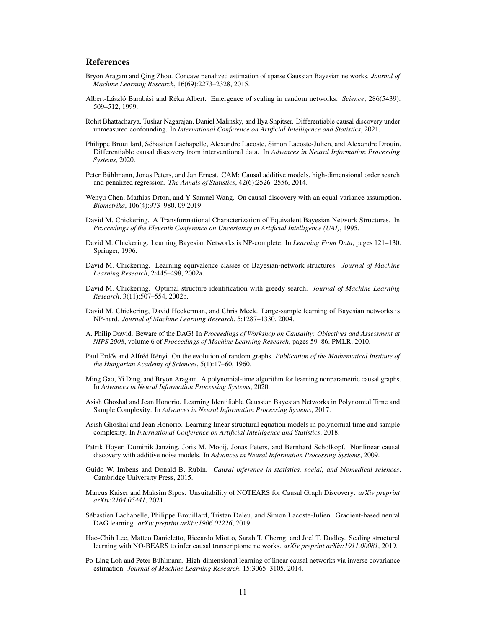# **References**

- <span id="page-10-15"></span>Bryon Aragam and Qing Zhou. Concave penalized estimation of sparse Gaussian Bayesian networks. *Journal of Machine Learning Research*, 16(69):2273–2328, 2015.
- <span id="page-10-19"></span>Albert-László Barabási and Réka Albert. Emergence of scaling in random networks. *Science*, 286(5439): 509–512, 1999.
- <span id="page-10-8"></span>Rohit Bhattacharya, Tushar Nagarajan, Daniel Malinsky, and Ilya Shpitser. Differentiable causal discovery under unmeasured confounding. In *International Conference on Artificial Intelligence and Statistics*, 2021.
- <span id="page-10-7"></span>Philippe Brouillard, Sébastien Lachapelle, Alexandre Lacoste, Simon Lacoste-Julien, and Alexandre Drouin. Differentiable causal discovery from interventional data. In *Advances in Neural Information Processing Systems*, 2020.
- <span id="page-10-16"></span>Peter Bühlmann, Jonas Peters, and Jan Ernest. CAM: Causal additive models, high-dimensional order search and penalized regression. *The Annals of Statistics*, 42(6):2526–2556, 2014.
- <span id="page-10-13"></span>Wenyu Chen, Mathias Drton, and Y Samuel Wang. On causal discovery with an equal-variance assumption. *Biometrika*, 106(4):973–980, 09 2019.
- <span id="page-10-9"></span>David M. Chickering. A Transformational Characterization of Equivalent Bayesian Network Structures. In *Proceedings of the Eleventh Conference on Uncertainty in Artificial Intelligence (UAI)*, 1995.
- <span id="page-10-2"></span>David M. Chickering. Learning Bayesian Networks is NP-complete. In *Learning From Data*, pages 121–130. Springer, 1996.
- <span id="page-10-17"></span>David M. Chickering. Learning equivalence classes of Bayesian-network structures. *Journal of Machine Learning Research*, 2:445–498, 2002a.
- <span id="page-10-14"></span>David M. Chickering. Optimal structure identification with greedy search. *Journal of Machine Learning Research*, 3(11):507–554, 2002b.
- <span id="page-10-3"></span>David M. Chickering, David Heckerman, and Chris Meek. Large-sample learning of Bayesian networks is NP-hard. *Journal of Machine Learning Research*, 5:1287–1330, 2004.
- <span id="page-10-1"></span>A. Philip Dawid. Beware of the DAG! In *Proceedings of Workshop on Causality: Objectives and Assessment at NIPS 2008*, volume 6 of *Proceedings of Machine Learning Research*, pages 59–86. PMLR, 2010.
- <span id="page-10-18"></span>Paul Erdős and Alfréd Rényi. On the evolution of random graphs. Publication of the Mathematical Institute of *the Hungarian Academy of Sciences*, 5(1):17–60, 1960.
- <span id="page-10-20"></span>Ming Gao, Yi Ding, and Bryon Aragam. A polynomial-time algorithm for learning nonparametric causal graphs. In *Advances in Neural Information Processing Systems*, 2020.
- <span id="page-10-11"></span>Asish Ghoshal and Jean Honorio. Learning Identifiable Gaussian Bayesian Networks in Polynomial Time and Sample Complexity. In *Advances in Neural Information Processing Systems*, 2017.
- <span id="page-10-12"></span>Asish Ghoshal and Jean Honorio. Learning linear structural equation models in polynomial time and sample complexity. In *International Conference on Artificial Intelligence and Statistics*, 2018.
- <span id="page-10-10"></span>Patrik Hoyer, Dominik Janzing, Joris M. Mooij, Jonas Peters, and Bernhard Schölkopf. Nonlinear causal discovery with additive noise models. In *Advances in Neural Information Processing Systems*, 2009.
- <span id="page-10-0"></span>Guido W. Imbens and Donald B. Rubin. *Causal inference in statistics, social, and biomedical sciences*. Cambridge University Press, 2015.
- <span id="page-10-21"></span>Marcus Kaiser and Maksim Sipos. Unsuitability of NOTEARS for Causal Graph Discovery. *arXiv preprint arXiv:2104.05441*, 2021.
- <span id="page-10-5"></span>Sébastien Lachapelle, Philippe Brouillard, Tristan Deleu, and Simon Lacoste-Julien. Gradient-based neural DAG learning. *arXiv preprint arXiv:1906.02226*, 2019.
- <span id="page-10-6"></span>Hao-Chih Lee, Matteo Danieletto, Riccardo Miotto, Sarah T. Cherng, and Joel T. Dudley. Scaling structural learning with NO-BEARS to infer causal transcriptome networks. *arXiv preprint arXiv:1911.00081*, 2019.
- <span id="page-10-4"></span>Po-Ling Loh and Peter Bühlmann. High-dimensional learning of linear causal networks via inverse covariance estimation. *Journal of Machine Learning Research*, 15:3065–3105, 2014.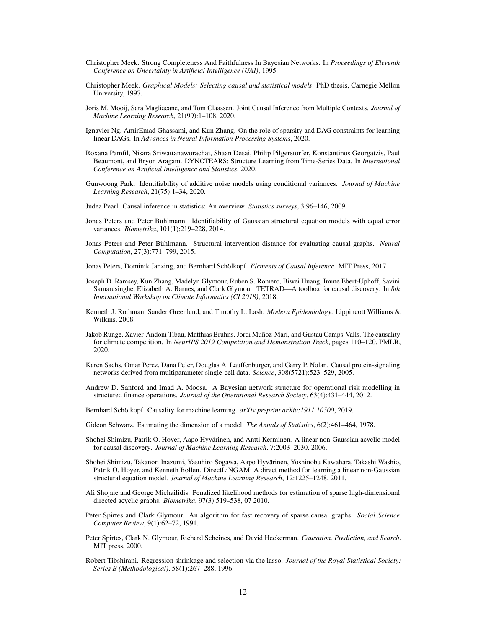- <span id="page-11-15"></span>Christopher Meek. Strong Completeness And Faithfulness In Bayesian Networks. In *Proceedings of Eleventh Conference on Uncertainty in Artificial Intelligence (UAI)*, 1995.
- <span id="page-11-14"></span>Christopher Meek. *Graphical Models: Selecting causal and statistical models*. PhD thesis, Carnegie Mellon University, 1997.
- <span id="page-11-21"></span>Joris M. Mooij, Sara Magliacane, and Tom Claassen. Joint Causal Inference from Multiple Contexts. *Journal of Machine Learning Research*, 21(99):1–108, 2020.
- <span id="page-11-11"></span>Ignavier Ng, AmirEmad Ghassami, and Kun Zhang. On the role of sparsity and DAG constraints for learning linear DAGs. In *Advances in Neural Information Processing Systems*, 2020.
- <span id="page-11-12"></span>Roxana Pamfil, Nisara Sriwattanaworachai, Shaan Desai, Philip Pilgerstorfer, Konstantinos Georgatzis, Paul Beaumont, and Bryon Aragam. DYNOTEARS: Structure Learning from Time-Series Data. In *International Conference on Artificial Intelligence and Statistics*, 2020.
- <span id="page-11-10"></span>Gunwoong Park. Identifiability of additive noise models using conditional variances. *Journal of Machine Learning Research*, 21(75):1–34, 2020.
- <span id="page-11-4"></span>Judea Pearl. Causal inference in statistics: An overview. *Statistics surveys*, 3:96–146, 2009.
- <span id="page-11-9"></span>Jonas Peters and Peter Bühlmann. Identifiability of Gaussian structural equation models with equal error variances. *Biometrika*, 101(1):219–228, 2014.
- <span id="page-11-19"></span>Jonas Peters and Peter Bühlmann. Structural intervention distance for evaluating causal graphs. *Neural Computation*, 27(3):771–799, 2015.
- <span id="page-11-5"></span>Jonas Peters, Dominik Janzing, and Bernhard Schölkopf. *Elements of Causal Inference*. MIT Press, 2017.
- Joseph D. Ramsey, Kun Zhang, Madelyn Glymour, Ruben S. Romero, Biwei Huang, Imme Ebert-Uphoff, Savini Samarasinghe, Elizabeth A. Barnes, and Clark Glymour. TETRAD—A toolbox for causal discovery. In *8th International Workshop on Climate Informatics (CI 2018)*, 2018.
- <span id="page-11-0"></span>Kenneth J. Rothman, Sander Greenland, and Timothy L. Lash. *Modern Epidemiology*. Lippincott Williams & Wilkins, 2008.
- <span id="page-11-6"></span>Jakob Runge, Xavier-Andoni Tibau, Matthias Bruhns, Jordi Muñoz-Marí, and Gustau Camps-Valls. The causality for climate competition. In *NeurIPS 2019 Competition and Demonstration Track*, pages 110–120. PMLR, 2020.
- <span id="page-11-20"></span>Karen Sachs, Omar Perez, Dana Pe'er, Douglas A. Lauffenburger, and Garry P. Nolan. Causal protein-signaling networks derived from multiparameter single-cell data. *Science*, 308(5721):523–529, 2005.
- <span id="page-11-1"></span>Andrew D. Sanford and Imad A. Moosa. A Bayesian network structure for operational risk modelling in structured finance operations. *Journal of the Operational Research Society*, 63(4):431–444, 2012.
- <span id="page-11-2"></span>Bernhard Schölkopf. Causality for machine learning. *arXiv preprint arXiv:1911.10500*, 2019.
- <span id="page-11-18"></span>Gideon Schwarz. Estimating the dimension of a model. *The Annals of Statistics*, 6(2):461–464, 1978.
- <span id="page-11-7"></span>Shohei Shimizu, Patrik O. Hoyer, Aapo Hyvärinen, and Antti Kerminen. A linear non-Gaussian acyclic model for causal discovery. *Journal of Machine Learning Research*, 7:2003–2030, 2006.
- <span id="page-11-8"></span>Shohei Shimizu, Takanori Inazumi, Yasuhiro Sogawa, Aapo Hyvärinen, Yoshinobu Kawahara, Takashi Washio, Patrik O. Hoyer, and Kenneth Bollen. DirectLiNGAM: A direct method for learning a linear non-Gaussian structural equation model. *Journal of Machine Learning Research*, 12:1225–1248, 2011.
- <span id="page-11-16"></span>Ali Shojaie and George Michailidis. Penalized likelihood methods for estimation of sparse high-dimensional directed acyclic graphs. *Biometrika*, 97(3):519–538, 07 2010.
- <span id="page-11-13"></span>Peter Spirtes and Clark Glymour. An algorithm for fast recovery of sparse causal graphs. *Social Science Computer Review*, 9(1):62–72, 1991.
- <span id="page-11-3"></span>Peter Spirtes, Clark N. Glymour, Richard Scheines, and David Heckerman. *Causation, Prediction, and Search*. MIT press, 2000.
- <span id="page-11-17"></span>Robert Tibshirani. Regression shrinkage and selection via the lasso. *Journal of the Royal Statistical Society: Series B (Methodological)*, 58(1):267–288, 1996.